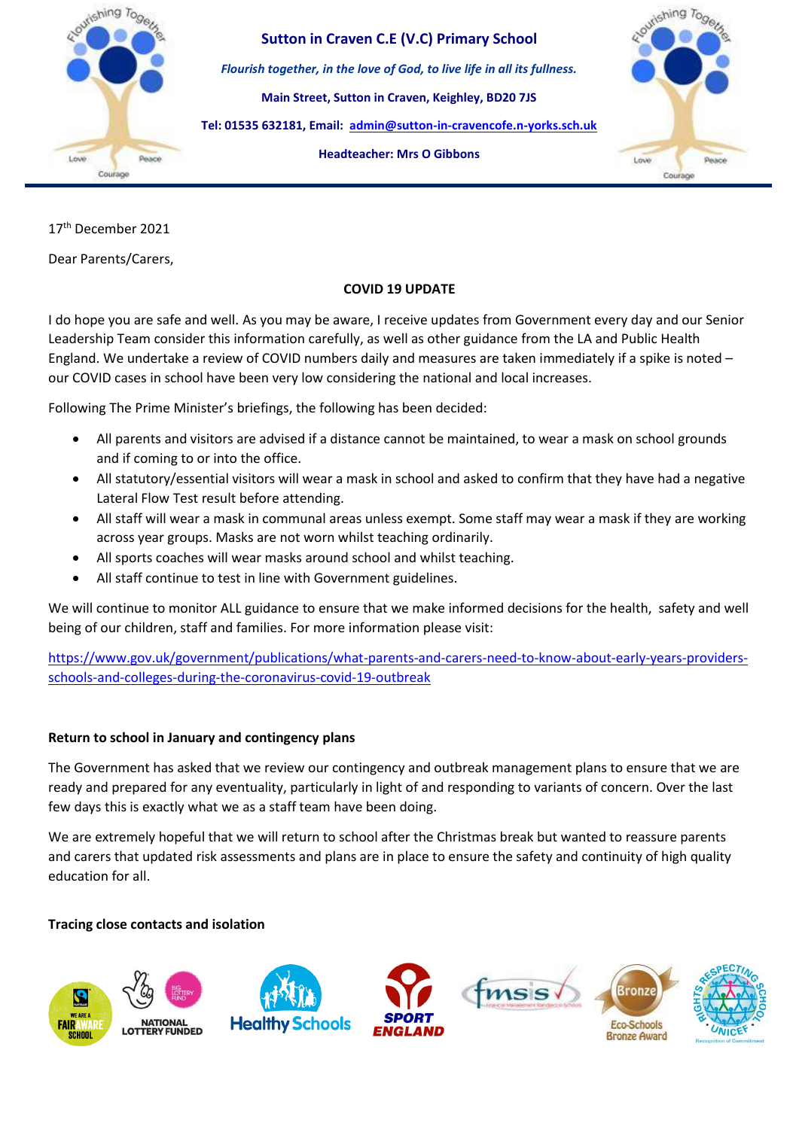

**Sutton in Craven C.E (V.C) Primary School** *Flourish together, in the love of God, to live life in all its fullness.* **Main Street, Sutton in Craven, Keighley, BD20 7JS Tel: 01535 632181, Email: [admin@sutton-in-cravencofe.n-yorks.sch.uk](mailto:admin@sutton-in-cravencofe.n-yorks.sch.uk) Headteacher: Mrs O Gibbons**



17th December 2021

Dear Parents/Carers,

# **COVID 19 UPDATE**

I do hope you are safe and well. As you may be aware, I receive updates from Government every day and our Senior Leadership Team consider this information carefully, as well as other guidance from the LA and Public Health England. We undertake a review of COVID numbers daily and measures are taken immediately if a spike is noted – our COVID cases in school have been very low considering the national and local increases.

Following The Prime Minister's briefings, the following has been decided:

- All parents and visitors are advised if a distance cannot be maintained, to wear a mask on school grounds and if coming to or into the office.
- All statutory/essential visitors will wear a mask in school and asked to confirm that they have had a negative Lateral Flow Test result before attending.
- All staff will wear a mask in communal areas unless exempt. Some staff may wear a mask if they are working across year groups. Masks are not worn whilst teaching ordinarily.
- All sports coaches will wear masks around school and whilst teaching.
- All staff continue to test in line with Government guidelines.

We will continue to monitor ALL guidance to ensure that we make informed decisions for the health, safety and well being of our children, staff and families. For more information please visit:

[https://www.gov.uk/government/publications/what-parents-and-carers-need-to-know-about-early-years-providers](https://www.gov.uk/government/publications/what-parents-and-carers-need-to-know-about-early-years-providers-schools-and-colleges-during-the-coronavirus-covid-19-outbreak)[schools-and-colleges-during-the-coronavirus-covid-19-outbreak](https://www.gov.uk/government/publications/what-parents-and-carers-need-to-know-about-early-years-providers-schools-and-colleges-during-the-coronavirus-covid-19-outbreak)

### **Return to school in January and contingency plans**

The Government has asked that we review our contingency and outbreak management plans to ensure that we are ready and prepared for any eventuality, particularly in light of and responding to variants of concern. Over the last few days this is exactly what we as a staff team have been doing.

We are extremely hopeful that we will return to school after the Christmas break but wanted to reassure parents and carers that updated risk assessments and plans are in place to ensure the safety and continuity of high quality education for all.

### **Tracing close contacts and isolation**

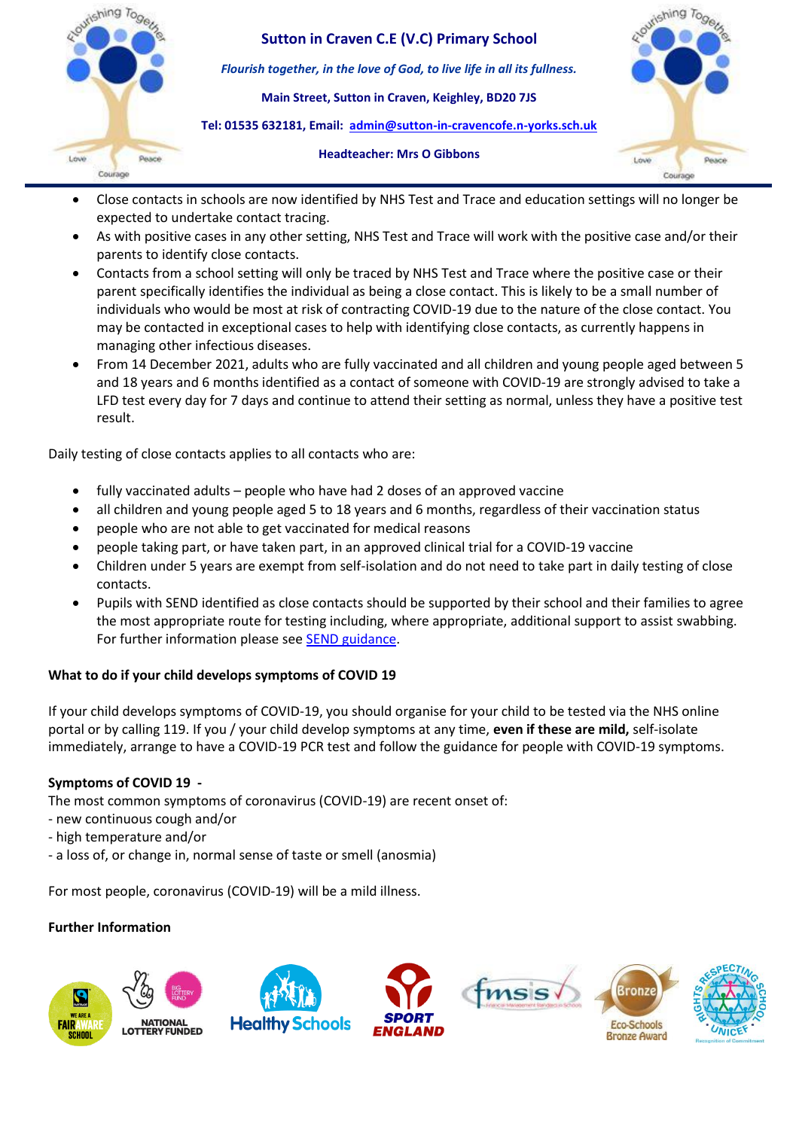

- Close contacts in schools are now identified by NHS Test and Trace and education settings will no longer be expected to undertake contact tracing.
- As with positive cases in any other setting, NHS Test and Trace will work with the positive case and/or their parents to identify close contacts.
- Contacts from a school setting will only be traced by NHS Test and Trace where the positive case or their parent specifically identifies the individual as being a close contact. This is likely to be a small number of individuals who would be most at risk of contracting COVID-19 due to the nature of the close contact. You may be contacted in exceptional cases to help with identifying close contacts, as currently happens in managing other infectious diseases.
- From 14 December 2021, adults who are fully vaccinated and all children and young people aged between 5 and 18 years and 6 months identified as a contact of someone with COVID-19 are strongly advised to take a LFD test every day for 7 days and continue to attend their setting as normal, unless they have a positive test result.

Daily testing of close contacts applies to all contacts who are:

- fully vaccinated adults people who have had 2 doses of an approved vaccine
- all children and young people aged 5 to 18 years and 6 months, regardless of their vaccination status
- people who are not able to get vaccinated for medical reasons
- people taking part, or have taken part, in an approved clinical trial for a COVID-19 vaccine
- Children under 5 years are exempt from self-isolation and do not need to take part in daily testing of close contacts.
- Pupils with SEND identified as close contacts should be supported by their school and their families to agree the most appropriate route for testing including, where appropriate, additional support to assist swabbing. For further information please see [SEND guidance.](https://www.google.com/url?q=https://www.google.com/url?q%3Dhttps://www.gov.uk/government/publications/guidance-for-full-opening-special-schools-and-other-specialist-settings?priority-taxon%253Db350e61d-1db9-4cc2-bb44-fab02882ac25%26amp;sa%3DD%26amp;source%3Deditors%26amp;ust%3D1639722161820000%26amp;usg%3DAOvVaw2SnA5Dfs0w8eoKzxMnMOY1&sa=D&source=docs&ust=1639722161842000&usg=AOvVaw1FyRxoDufYGCrg0VM-8cNg)

### **What to do if your child develops symptoms of COVID 19**

If your child develops symptoms of COVID-19, you should organise for your child to be tested via the NHS online portal or by calling 119. If you / your child develop symptoms at any time, **even if these are mild,** self-isolate immediately, arrange to have a COVID-19 PCR test and follow the guidance for people with COVID-19 symptoms.

### **Symptoms of COVID 19 -**

The most common symptoms of coronavirus (COVID-19) are recent onset of:

- new continuous cough and/or
- high temperature and/or
- a loss of, or change in, normal sense of taste or smell (anosmia)

For most people, coronavirus (COVID-19) will be a mild illness.

### **Further Information**